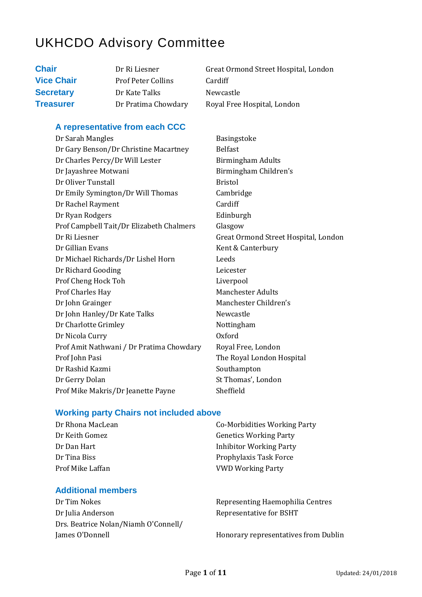# UKHCDO Advisory Committee

| Dr Ri Liesner             | Great Ormond Street Hospital, London |
|---------------------------|--------------------------------------|
| <b>Prof Peter Collins</b> | Cardiff                              |
| Dr Kate Talks             | Newcastle                            |
| Dr Pratima Chowdary       | Royal Free Hospital, London          |
|                           |                                      |

#### **A representative from each CCC**

| Dr Sarah Mangles                         | Basin         |
|------------------------------------------|---------------|
| Dr Gary Benson/Dr Christine Macartney    | <b>Belfas</b> |
| Dr Charles Percy/Dr Will Lester          | <b>Birmi</b>  |
| Dr Jayashree Motwani                     | Birmi         |
| Dr Oliver Tunstall                       | <b>Bristo</b> |
| Dr Emily Symington/Dr Will Thomas        | Camb          |
| Dr Rachel Rayment                        | Cardi         |
| Dr Ryan Rodgers                          | Edinb         |
| Prof Campbell Tait/Dr Elizabeth Chalmers | Glasgo        |
| Dr Ri Liesner                            | Great         |
| Dr Gillian Evans                         | Kent &        |
| Dr Michael Richards/Dr Lishel Horn       | Leeds         |
| Dr Richard Gooding                       | Leices        |
| Prof Cheng Hock Toh                      | Liverp        |
| Prof Charles Hay                         | Mancl         |
| Dr John Grainger                         | Mancl         |
| Dr John Hanley/Dr Kate Talks             | Newc          |
| Dr Charlotte Grimley                     | Nottir        |
| Dr Nicola Curry                          | <b>Oxfor</b>  |
| Prof Amit Nathwani / Dr Pratima Chowdary | Royal         |
| Prof John Pasi                           | The R         |
| Dr Rashid Kazmi                          | South         |
| Dr Gerry Dolan                           | St Tho        |
| Prof Mike Makris/Dr Jeanette Payne       | Sheffi        |

**Basingstoke Belfast** Birmingham Adults Birmingham Children's **Bristol** Cambridge Cardiff Edinburgh Glasgow Great Ormond Street Hospital, London Kent & Canterbury Leicester Liverpool Manchester Adults Manchester Children's Newcastle Nottingham Oxford Royal Free, London The Royal London Hospital Southampton St Thomas', London Sheffield

#### **Working party Chairs not included above**

| Dr Rhona MacLean | Co-Morbidities Working Party   |
|------------------|--------------------------------|
| Dr Keith Gomez   | <b>Genetics Working Party</b>  |
| Dr Dan Hart      | <b>Inhibitor Working Party</b> |
| Dr Tina Biss     | Prophylaxis Task Force         |
| Prof Mike Laffan | <b>VWD Working Party</b>       |

#### **Additional members**

Dr Tim Nokes Representing Haemophilia Centres Dr Julia Anderson Representative for BSHT Drs. Beatrice Nolan/Niamh O'Connell/ James O'Donnell **Honorary representatives from Dublin**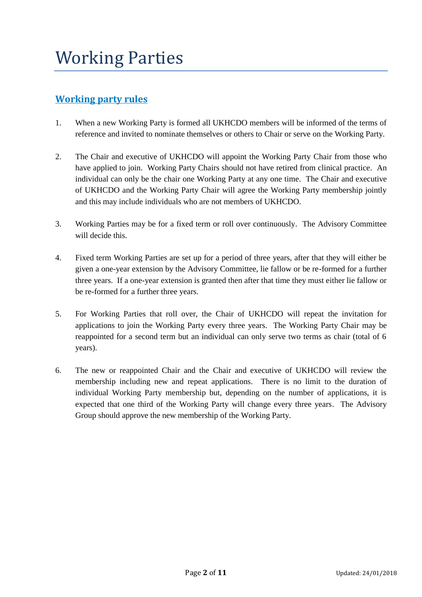### **Working party rules**

- 1. When a new Working Party is formed all UKHCDO members will be informed of the terms of reference and invited to nominate themselves or others to Chair or serve on the Working Party.
- 2. The Chair and executive of UKHCDO will appoint the Working Party Chair from those who have applied to join. Working Party Chairs should not have retired from clinical practice. An individual can only be the chair one Working Party at any one time. The Chair and executive of UKHCDO and the Working Party Chair will agree the Working Party membership jointly and this may include individuals who are not members of UKHCDO.
- 3. Working Parties may be for a fixed term or roll over continuously. The Advisory Committee will decide this.
- 4. Fixed term Working Parties are set up for a period of three years, after that they will either be given a one-year extension by the Advisory Committee, lie fallow or be re-formed for a further three years. If a one-year extension is granted then after that time they must either lie fallow or be re-formed for a further three years.
- 5. For Working Parties that roll over, the Chair of UKHCDO will repeat the invitation for applications to join the Working Party every three years. The Working Party Chair may be reappointed for a second term but an individual can only serve two terms as chair (total of 6 years).
- 6. The new or reappointed Chair and the Chair and executive of UKHCDO will review the membership including new and repeat applications. There is no limit to the duration of individual Working Party membership but, depending on the number of applications, it is expected that one third of the Working Party will change every three years. The Advisory Group should approve the new membership of the Working Party.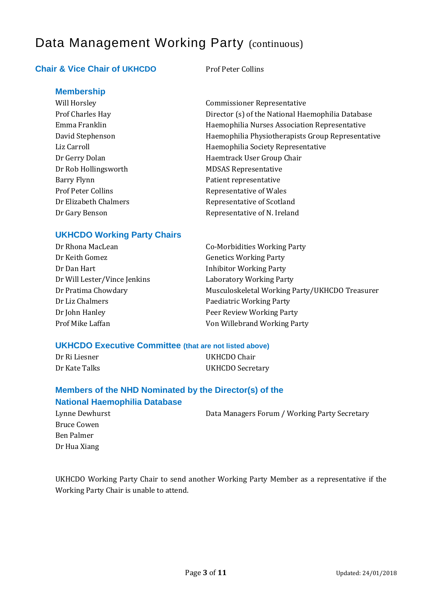# Data Management Working Party (continuous)

### **Chair & Vice Chair of UKHCDO** Prof Peter Collins

**Membership**

Dr Rob Hollingsworth MDSAS Representative Barry Flynn **Patient representative** Prof Peter Collins **Representative of Wales** 

Will Horsley **Commissioner Representative** Prof Charles Hay Director (s) of the National Haemophilia Database Emma Franklin Haemophilia Nurses Association Representative David Stephenson Haemophilia Physiotherapists Group Representative Liz Carroll **Example 2** Haemophilia Society Representative Dr Gerry Dolan Haemtrack User Group Chair Dr Elizabeth Chalmers Representative of Scotland Dr Gary Benson Representative of N. Ireland

#### **UKHCDO Working Party Chairs**

Dr Keith Gomez Genetics Working Party Dr Dan Hart **Inhibitor Working Party** Dr Will Lester/Vince Jenkins Laboratory Working Party Dr Liz Chalmers **Paediatric Working Party** Dr John Hanley Peer Review Working Party

Dr Rhona MacLean **Co-Morbidities Working Party** Dr Pratima Chowdary Musculoskeletal Working Party/UKHCDO Treasurer Prof Mike Laffan Von Willebrand Working Party

#### **UKHCDO Executive Committee (that are not listed above)**

Dr Ri Liesner UKHCDO Chair Dr Kate Talks UKHCDO Secretary

### **Members of the NHD Nominated by the Director(s) of the National Haemophilia Database**

| Data Managers Forum / Working Party Secretary |
|-----------------------------------------------|
|                                               |
|                                               |

Lynne Dewhurst Bruce Cowen Ben Palmer Dr Hua Xiang

UKHCDO Working Party Chair to send another Working Party Member as a representative if the Working Party Chair is unable to attend.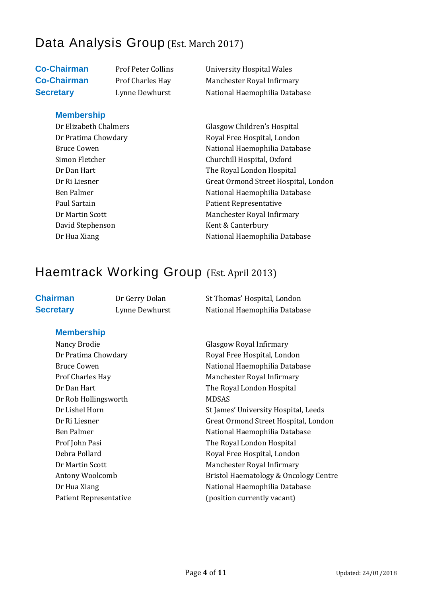# Data Analysis Group (Est. March 2017)

**Membership**

David Stephenson Kent & Canterbury

**Co-Chairman** Prof Peter Collins University Hospital Wales **Co-Chairman** Prof Charles Hay Manchester Royal Infirmary **Secretary Lynne Dewhurst National Haemophilia Database** 

Dr Elizabeth Chalmers Glasgow Children's Hospital Dr Pratima Chowdary **Royal Free Hospital, London** Bruce Cowen National Haemophilia Database Simon Fletcher Churchill Hospital, Oxford Dr Dan Hart The Royal London Hospital Dr Ri Liesner Great Ormond Street Hospital, London Ben Palmer National Haemophilia Database Paul Sartain **Paul Sartain** Patient Representative Dr Martin Scott Manchester Royal Infirmary Dr Hua Xiang National Haemophilia Database

# Haemtrack Working Group (Est. April 2013)

**Chairman** Dr Gerry Dolan St Thomas' Hospital, London **Secretary Lynne Dewhurst National Haemophilia Database** 

### **Membership**

Nancy Brodie Glasgow Royal Infirmary Dr Rob Hollingsworth MDSAS Patient Representative (position currently vacant)

Dr Pratima Chowdary **Royal Free Hospital, London** Bruce Cowen **National Haemophilia Database** Prof Charles Hay Manchester Royal Infirmary Dr Dan Hart The Royal London Hospital Dr Lishel Horn St James' University Hospital, Leeds Dr Ri Liesner Great Ormond Street Hospital, London Ben Palmer National Haemophilia Database Prof John Pasi **The Royal London Hospital** Debra Pollard **Royal Free Hospital, London** Dr Martin Scott Manchester Royal Infirmary Antony Woolcomb Bristol Haematology & Oncology Centre Dr Hua Xiang National Haemophilia Database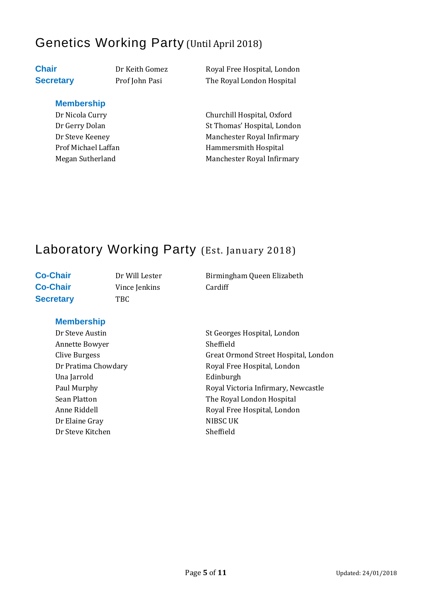# Genetics Working Party (Until April 2018)

**Membership**

**Chair** Dr Keith Gomez Royal Free Hospital, London **Secretary** Prof John Pasi The Royal London Hospital

Dr Nicola Curry Churchill Hospital, Oxford Dr Gerry Dolan St Thomas' Hospital, London Dr Steve Keeney **Manchester Royal Infirmary** Prof Michael Laffan Hammersmith Hospital Megan Sutherland Manchester Royal Infirmary

# Laboratory Working Party (Est. January 2018)

Secretary TBC

**Co-Chair** Vince Jenkins Cardiff

**Co-Chair** Dr Will Lester Birmingham Queen Elizabeth

### **Membership**

Annette Bowyer Sheffield Una Jarrold **Edinburgh** Dr Elaine Gray NIBSC UK Dr Steve Kitchen Sheffield

Dr Steve Austin St Georges Hospital, London Clive Burgess Great Ormond Street Hospital, London Dr Pratima Chowdary **Royal Free Hospital, London** Paul Murphy **Royal Victoria Infirmary, Newcastle** Sean Platton **The Royal London Hospital** Anne Riddell **Royal Free Hospital, London**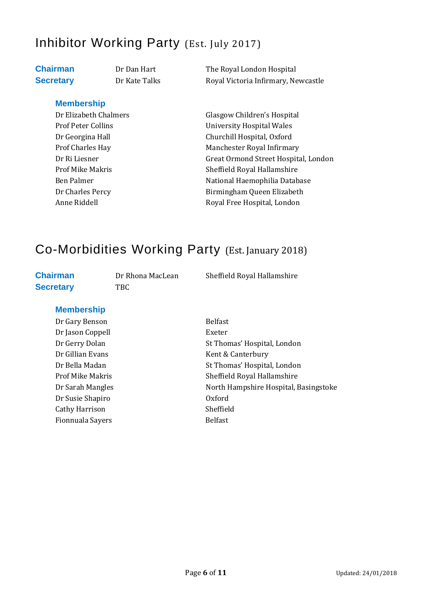# Inhibitor Working Party (Est. July 2017)

**Chairman** Dr Dan Hart The Royal London Hospital **Secretary** Dr Kate Talks Royal Victoria Infirmary, Newcastle

### **Membership**

Dr Elizabeth Chalmers Glasgow Children's Hospital Prof Peter Collins **Prof Peter Collins** University Hospital Wales Dr Georgina Hall Churchill Hospital, Oxford Prof Charles Hay Manchester Royal Infirmary Dr Ri Liesner Great Ormond Street Hospital, London Prof Mike Makris Sheffield Royal Hallamshire Ben Palmer National Haemophilia Database Dr Charles Percy **Birmingham Queen Elizabeth** Anne Riddell **Royal Free Hospital, London** 

# Co-Morbidities Working Party (Est. January 2018)

# **Secretary** TBC

**Chairman** Dr Rhona MacLean Sheffield Royal Hallamshire

### **Membership**

Dr Gary Benson Belfast Dr Jason Coppell Exeter Dr Susie Shapiro Oxford Cathy Harrison Sheffield Fionnuala Sayers **Belfast** 

Dr Gerry Dolan St Thomas' Hospital, London Dr Gillian Evans Kent & Canterbury Dr Bella Madan St Thomas' Hospital, London Prof Mike Makris Sheffield Royal Hallamshire Dr Sarah Mangles North Hampshire Hospital, Basingstoke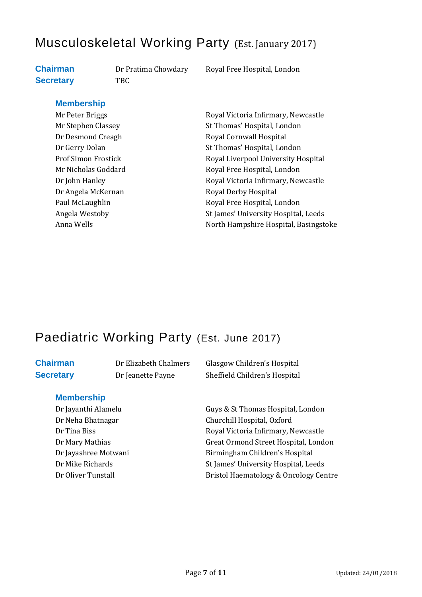# Musculoskeletal Working Party (Est. January 2017)

# **Secretary** TBC

**Chairman** Dr Pratima Chowdary Royal Free Hospital, London

#### **Membership**

Dr Angela McKernan Royal Derby Hospital

Mr Peter Briggs **Royal Victoria Infirmary, Newcastle** Mr Stephen Classey St Thomas' Hospital, London Dr Desmond Creagh Royal Cornwall Hospital Dr Gerry Dolan St Thomas' Hospital, London Prof Simon Frostick Royal Liverpool University Hospital Mr Nicholas Goddard Royal Free Hospital, London Dr John Hanley **Royal Victoria Infirmary, Newcastle** Paul McLaughlin Royal Free Hospital, London Angela Westoby St James' University Hospital, Leeds Anna Wells **North Hampshire Hospital, Basingstoke** 

# Paediatric Working Party (Est. June 2017)

#### **Membership**

**Chairman** Dr Elizabeth Chalmers Glasgow Children's Hospital **Secretary** Dr Jeanette Payne Sheffield Children's Hospital

Dr Jayanthi Alamelu Guys & St Thomas Hospital, London Dr Neha Bhatnagar Churchill Hospital, Oxford Dr Tina Biss **Royal Victoria Infirmary, Newcastle** Dr Mary Mathias Great Ormond Street Hospital, London Dr Jayashree Motwani Birmingham Children's Hospital Dr Mike Richards St James' University Hospital, Leeds Dr Oliver Tunstall Bristol Haematology & Oncology Centre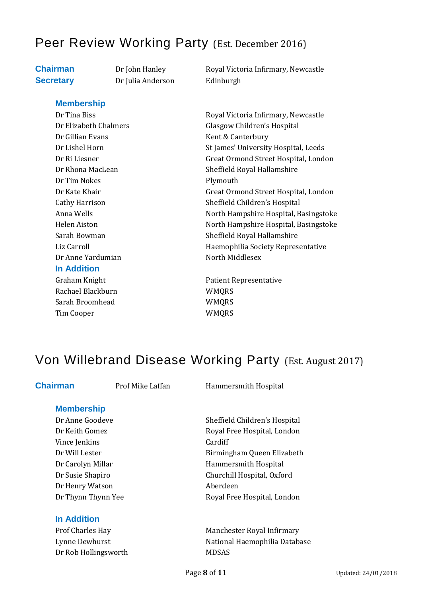# Peer Review Working Party (Est. December 2016)

**Secretary** Dr Julia Anderson Edinburgh

**Chairman** Dr John Hanley Royal Victoria Infirmary, Newcastle

#### **Membership**

Dr Tina Biss Royal Victoria Infirmary, Newcastle Dr Gillian Evans Kent & Canterbury Dr Tim Nokes Plymouth Dr Anne Yardumian North Middlesex **In Addition**

Rachael Blackburn WMORS Sarah Broomhead WMORS Tim Cooper WMQRS

Dr Elizabeth Chalmers Glasgow Children's Hospital Dr Lishel Horn St James' University Hospital, Leeds Dr Ri Liesner Great Ormond Street Hospital, London Dr Rhona MacLean Sheffield Royal Hallamshire Dr Kate Khair Great Ormond Street Hospital, London Cathy Harrison Sheffield Children's Hospital Anna Wells **North Hampshire Hospital, Basingstoke** Helen Aiston North Hampshire Hospital, Basingstoke Sarah Bowman Sarah Bowman Sheffield Royal Hallamshire Liz Carroll **Example 2** Haemophilia Society Representative

Graham Knight **Patient Representative** 

# Von Willebrand Disease Working Party (Est. August 2017)

**Chairman** Prof Mike Laffan Hammersmith Hospital

### **Membership**

Vince Ienkins Cardiff Dr Henry Watson **Aberdeen** 

#### **In Addition**

Dr Rob Hollingsworth MDSAS

Dr Anne Goodeve Sheffield Children's Hospital Dr Keith Gomez **Royal Free Hospital, London** Dr Will Lester **Birmingham Queen Elizabeth** Dr Carolyn Millar **Hammersmith Hospital** Dr Susie Shapiro Churchill Hospital, Oxford Dr Thynn Thynn Yee Royal Free Hospital, London

Prof Charles Hay Manchester Royal Infirmary Lynne Dewhurst National Haemophilia Database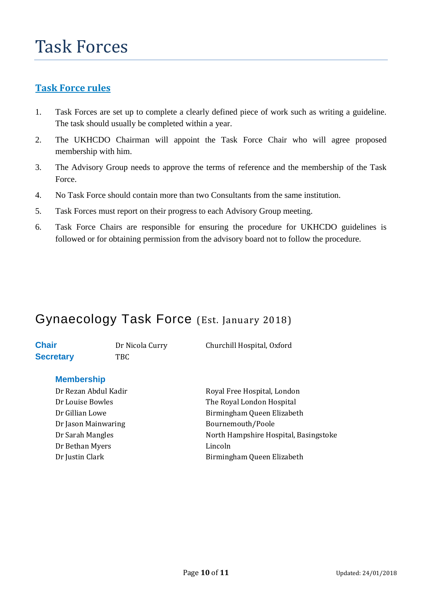### **Task Force rules**

- 1. Task Forces are set up to complete a clearly defined piece of work such as writing a guideline. The task should usually be completed within a year.
- 2. The UKHCDO Chairman will appoint the Task Force Chair who will agree proposed membership with him.
- 3. The Advisory Group needs to approve the terms of reference and the membership of the Task Force.
- 4. No Task Force should contain more than two Consultants from the same institution.
- 5. Task Forces must report on their progress to each Advisory Group meeting.
- 6. Task Force Chairs are responsible for ensuring the procedure for UKHCDO guidelines is followed or for obtaining permission from the advisory board not to follow the procedure.

# Gynaecology Task Force (Est. January 2018)

| <b>Chair</b>     |
|------------------|
| <b>Secretary</b> |

**Secretary** TBC

**Chair** Dr Nicola Curry Churchill Hospital, Oxford

#### **Membership**

Dr Jason Mainwaring **Bournemouth/Poole** Dr Bethan Myers Lincoln

Dr Rezan Abdul Kadir **Royal Free Hospital, London** Dr Louise Bowles The Royal London Hospital Dr Gillian Lowe **Birmingham Queen Elizabeth** Dr Sarah Mangles North Hampshire Hospital, Basingstoke Dr Justin Clark Birmingham Queen Elizabeth